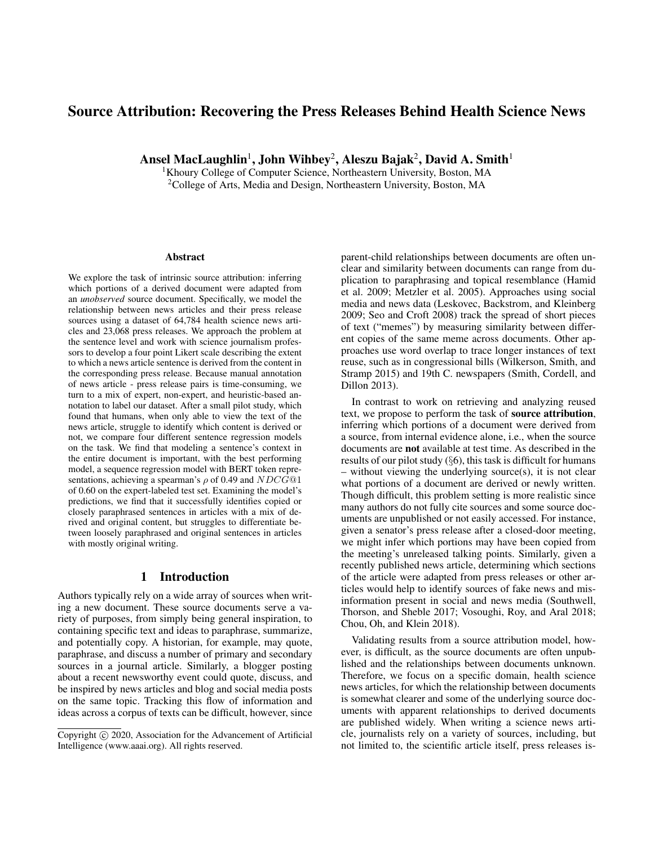# Source Attribution: Recovering the Press Releases Behind Health Science News

Ansel MacLaughlin $^1$ , John Wihbey $^2$ , Aleszu Bajak $^2$ , David A. Smith $^1$ 

<sup>1</sup>Khoury College of Computer Science, Northeastern University, Boston, MA <sup>2</sup>College of Arts, Media and Design, Northeastern University, Boston, MA

#### **Abstract**

We explore the task of intrinsic source attribution: inferring which portions of a derived document were adapted from an *unobserved* source document. Specifically, we model the relationship between news articles and their press release sources using a dataset of 64,784 health science news articles and 23,068 press releases. We approach the problem at the sentence level and work with science journalism professors to develop a four point Likert scale describing the extent to which a news article sentence is derived from the content in the corresponding press release. Because manual annotation of news article - press release pairs is time-consuming, we turn to a mix of expert, non-expert, and heuristic-based annotation to label our dataset. After a small pilot study, which found that humans, when only able to view the text of the news article, struggle to identify which content is derived or not, we compare four different sentence regression models on the task. We find that modeling a sentence's context in the entire document is important, with the best performing model, a sequence regression model with BERT token representations, achieving a spearman's  $\rho$  of 0.49 and  $NDCG@1$ of 0.60 on the expert-labeled test set. Examining the model's predictions, we find that it successfully identifies copied or closely paraphrased sentences in articles with a mix of derived and original content, but struggles to differentiate between loosely paraphrased and original sentences in articles with mostly original writing.

### 1 Introduction

Authors typically rely on a wide array of sources when writing a new document. These source documents serve a variety of purposes, from simply being general inspiration, to containing specific text and ideas to paraphrase, summarize, and potentially copy. A historian, for example, may quote, paraphrase, and discuss a number of primary and secondary sources in a journal article. Similarly, a blogger posting about a recent newsworthy event could quote, discuss, and be inspired by news articles and blog and social media posts on the same topic. Tracking this flow of information and ideas across a corpus of texts can be difficult, however, since parent-child relationships between documents are often unclear and similarity between documents can range from duplication to paraphrasing and topical resemblance (Hamid et al. 2009; Metzler et al. 2005). Approaches using social media and news data (Leskovec, Backstrom, and Kleinberg 2009; Seo and Croft 2008) track the spread of short pieces of text ("memes") by measuring similarity between different copies of the same meme across documents. Other approaches use word overlap to trace longer instances of text reuse, such as in congressional bills (Wilkerson, Smith, and Stramp 2015) and 19th C. newspapers (Smith, Cordell, and Dillon 2013).

In contrast to work on retrieving and analyzing reused text, we propose to perform the task of source attribution, inferring which portions of a document were derived from a source, from internal evidence alone, i.e., when the source documents are not available at test time. As described in the results of our pilot study  $(\S6)$ , this task is difficult for humans – without viewing the underlying source(s), it is not clear what portions of a document are derived or newly written. Though difficult, this problem setting is more realistic since many authors do not fully cite sources and some source documents are unpublished or not easily accessed. For instance, given a senator's press release after a closed-door meeting, we might infer which portions may have been copied from the meeting's unreleased talking points. Similarly, given a recently published news article, determining which sections of the article were adapted from press releases or other articles would help to identify sources of fake news and misinformation present in social and news media (Southwell, Thorson, and Sheble 2017; Vosoughi, Roy, and Aral 2018; Chou, Oh, and Klein 2018).

Validating results from a source attribution model, however, is difficult, as the source documents are often unpublished and the relationships between documents unknown. Therefore, we focus on a specific domain, health science news articles, for which the relationship between documents is somewhat clearer and some of the underlying source documents with apparent relationships to derived documents are published widely. When writing a science news article, journalists rely on a variety of sources, including, but not limited to, the scientific article itself, press releases is-

Copyright (c) 2020, Association for the Advancement of Artificial Intelligence (www.aaai.org). All rights reserved.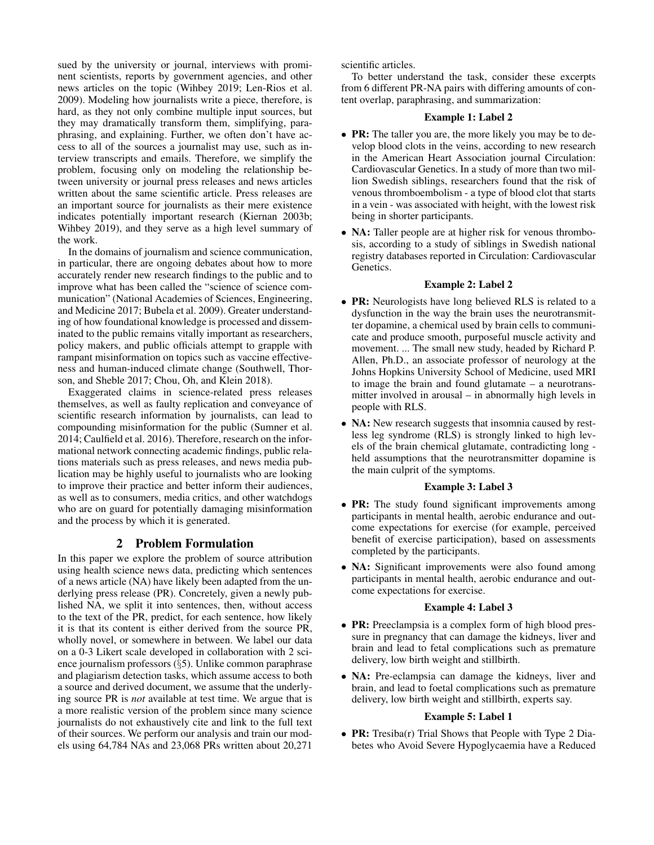sued by the university or journal, interviews with prominent scientists, reports by government agencies, and other news articles on the topic (Wihbey 2019; Len-Rios et al. 2009). Modeling how journalists write a piece, therefore, is hard, as they not only combine multiple input sources, but they may dramatically transform them, simplifying, paraphrasing, and explaining. Further, we often don't have access to all of the sources a journalist may use, such as interview transcripts and emails. Therefore, we simplify the problem, focusing only on modeling the relationship between university or journal press releases and news articles written about the same scientific article. Press releases are an important source for journalists as their mere existence indicates potentially important research (Kiernan 2003b; Wihbey 2019), and they serve as a high level summary of the work.

In the domains of journalism and science communication, in particular, there are ongoing debates about how to more accurately render new research findings to the public and to improve what has been called the "science of science communication" (National Academies of Sciences, Engineering, and Medicine 2017; Bubela et al. 2009). Greater understanding of how foundational knowledge is processed and disseminated to the public remains vitally important as researchers, policy makers, and public officials attempt to grapple with rampant misinformation on topics such as vaccine effectiveness and human-induced climate change (Southwell, Thorson, and Sheble 2017; Chou, Oh, and Klein 2018).

Exaggerated claims in science-related press releases themselves, as well as faulty replication and conveyance of scientific research information by journalists, can lead to compounding misinformation for the public (Sumner et al. 2014; Caulfield et al. 2016). Therefore, research on the informational network connecting academic findings, public relations materials such as press releases, and news media publication may be highly useful to journalists who are looking to improve their practice and better inform their audiences, as well as to consumers, media critics, and other watchdogs who are on guard for potentially damaging misinformation and the process by which it is generated.

# 2 Problem Formulation

In this paper we explore the problem of source attribution using health science news data, predicting which sentences of a news article (NA) have likely been adapted from the underlying press release (PR). Concretely, given a newly published NA, we split it into sentences, then, without access to the text of the PR, predict, for each sentence, how likely it is that its content is either derived from the source PR, wholly novel, or somewhere in between. We label our data on a 0-3 Likert scale developed in collaboration with 2 science journalism professors (§5). Unlike common paraphrase and plagiarism detection tasks, which assume access to both a source and derived document, we assume that the underlying source PR is *not* available at test time. We argue that is a more realistic version of the problem since many science journalists do not exhaustively cite and link to the full text of their sources. We perform our analysis and train our models using 64,784 NAs and 23,068 PRs written about 20,271

scientific articles.

To better understand the task, consider these excerpts from 6 different PR-NA pairs with differing amounts of content overlap, paraphrasing, and summarization:

### Example 1: Label 2

- PR: The taller you are, the more likely you may be to develop blood clots in the veins, according to new research in the American Heart Association journal Circulation: Cardiovascular Genetics. In a study of more than two million Swedish siblings, researchers found that the risk of venous thromboembolism - a type of blood clot that starts in a vein - was associated with height, with the lowest risk being in shorter participants.
- **NA:** Taller people are at higher risk for venous thrombosis, according to a study of siblings in Swedish national registry databases reported in Circulation: Cardiovascular Genetics.

## Example 2: Label 2

- PR: Neurologists have long believed RLS is related to a dysfunction in the way the brain uses the neurotransmitter dopamine, a chemical used by brain cells to communicate and produce smooth, purposeful muscle activity and movement. ... The small new study, headed by Richard P. Allen, Ph.D., an associate professor of neurology at the Johns Hopkins University School of Medicine, used MRI to image the brain and found glutamate – a neurotransmitter involved in arousal – in abnormally high levels in people with RLS.
- NA: New research suggests that insomnia caused by restless leg syndrome (RLS) is strongly linked to high levels of the brain chemical glutamate, contradicting long held assumptions that the neurotransmitter dopamine is the main culprit of the symptoms.

### Example 3: Label 3

- PR: The study found significant improvements among participants in mental health, aerobic endurance and outcome expectations for exercise (for example, perceived benefit of exercise participation), based on assessments completed by the participants.
- NA: Significant improvements were also found among participants in mental health, aerobic endurance and outcome expectations for exercise.

## Example 4: Label 3

- **PR:** Preeclampsia is a complex form of high blood pressure in pregnancy that can damage the kidneys, liver and brain and lead to fetal complications such as premature delivery, low birth weight and stillbirth.
- NA: Pre-eclampsia can damage the kidneys, liver and brain, and lead to foetal complications such as premature delivery, low birth weight and stillbirth, experts say.

### Example 5: Label 1

• PR: Tresiba(r) Trial Shows that People with Type 2 Diabetes who Avoid Severe Hypoglycaemia have a Reduced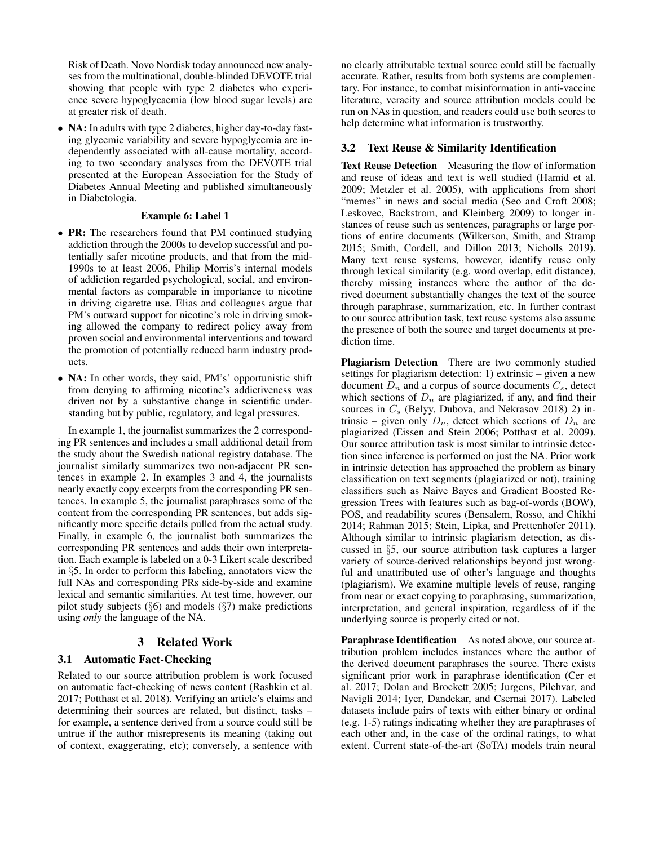Risk of Death. Novo Nordisk today announced new analyses from the multinational, double-blinded DEVOTE trial showing that people with type 2 diabetes who experience severe hypoglycaemia (low blood sugar levels) are at greater risk of death.

• NA: In adults with type 2 diabetes, higher day-to-day fasting glycemic variability and severe hypoglycemia are independently associated with all-cause mortality, according to two secondary analyses from the DEVOTE trial presented at the European Association for the Study of Diabetes Annual Meeting and published simultaneously in Diabetologia.

### Example 6: Label 1

- PR: The researchers found that PM continued studying addiction through the 2000s to develop successful and potentially safer nicotine products, and that from the mid-1990s to at least 2006, Philip Morris's internal models of addiction regarded psychological, social, and environmental factors as comparable in importance to nicotine in driving cigarette use. Elias and colleagues argue that PM's outward support for nicotine's role in driving smoking allowed the company to redirect policy away from proven social and environmental interventions and toward the promotion of potentially reduced harm industry products.
- NA: In other words, they said, PM's' opportunistic shift from denying to affirming nicotine's addictiveness was driven not by a substantive change in scientific understanding but by public, regulatory, and legal pressures.

In example 1, the journalist summarizes the 2 corresponding PR sentences and includes a small additional detail from the study about the Swedish national registry database. The journalist similarly summarizes two non-adjacent PR sentences in example 2. In examples 3 and 4, the journalists nearly exactly copy excerpts from the corresponding PR sentences. In example 5, the journalist paraphrases some of the content from the corresponding PR sentences, but adds significantly more specific details pulled from the actual study. Finally, in example 6, the journalist both summarizes the corresponding PR sentences and adds their own interpretation. Each example is labeled on a 0-3 Likert scale described in §5. In order to perform this labeling, annotators view the full NAs and corresponding PRs side-by-side and examine lexical and semantic similarities. At test time, however, our pilot study subjects  $(\S6)$  and models  $(\S7)$  make predictions using *only* the language of the NA.

## 3 Related Work

### 3.1 Automatic Fact-Checking

Related to our source attribution problem is work focused on automatic fact-checking of news content (Rashkin et al. 2017; Potthast et al. 2018). Verifying an article's claims and determining their sources are related, but distinct, tasks – for example, a sentence derived from a source could still be untrue if the author misrepresents its meaning (taking out of context, exaggerating, etc); conversely, a sentence with

no clearly attributable textual source could still be factually accurate. Rather, results from both systems are complementary. For instance, to combat misinformation in anti-vaccine literature, veracity and source attribution models could be run on NAs in question, and readers could use both scores to help determine what information is trustworthy.

### 3.2 Text Reuse & Similarity Identification

Text Reuse Detection Measuring the flow of information and reuse of ideas and text is well studied (Hamid et al. 2009; Metzler et al. 2005), with applications from short "memes" in news and social media (Seo and Croft 2008; Leskovec, Backstrom, and Kleinberg 2009) to longer instances of reuse such as sentences, paragraphs or large portions of entire documents (Wilkerson, Smith, and Stramp 2015; Smith, Cordell, and Dillon 2013; Nicholls 2019). Many text reuse systems, however, identify reuse only through lexical similarity (e.g. word overlap, edit distance), thereby missing instances where the author of the derived document substantially changes the text of the source through paraphrase, summarization, etc. In further contrast to our source attribution task, text reuse systems also assume the presence of both the source and target documents at prediction time.

Plagiarism Detection There are two commonly studied settings for plagiarism detection: 1) extrinsic – given a new document  $D_n$  and a corpus of source documents  $C_s$ , detect which sections of  $D_n$  are plagiarized, if any, and find their sources in  $C_s$  (Belyy, Dubova, and Nekrasov 2018) 2) intrinsic – given only  $D_n$ , detect which sections of  $D_n$  are plagiarized (Eissen and Stein 2006; Potthast et al. 2009). Our source attribution task is most similar to intrinsic detection since inference is performed on just the NA. Prior work in intrinsic detection has approached the problem as binary classification on text segments (plagiarized or not), training classifiers such as Naive Bayes and Gradient Boosted Regression Trees with features such as bag-of-words (BOW), POS, and readability scores (Bensalem, Rosso, and Chikhi 2014; Rahman 2015; Stein, Lipka, and Prettenhofer 2011). Although similar to intrinsic plagiarism detection, as discussed in §5, our source attribution task captures a larger variety of source-derived relationships beyond just wrongful and unattributed use of other's language and thoughts (plagiarism). We examine multiple levels of reuse, ranging from near or exact copying to paraphrasing, summarization, interpretation, and general inspiration, regardless of if the underlying source is properly cited or not.

Paraphrase Identification As noted above, our source attribution problem includes instances where the author of the derived document paraphrases the source. There exists significant prior work in paraphrase identification (Cer et al. 2017; Dolan and Brockett 2005; Jurgens, Pilehvar, and Navigli 2014; Iyer, Dandekar, and Csernai 2017). Labeled datasets include pairs of texts with either binary or ordinal (e.g. 1-5) ratings indicating whether they are paraphrases of each other and, in the case of the ordinal ratings, to what extent. Current state-of-the-art (SoTA) models train neural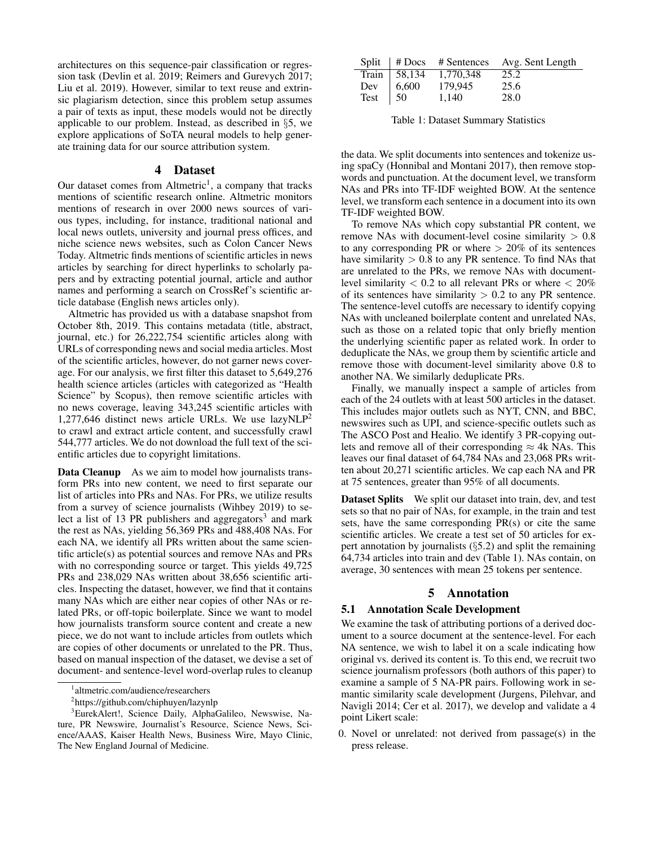architectures on this sequence-pair classification or regression task (Devlin et al. 2019; Reimers and Gurevych 2017; Liu et al. 2019). However, similar to text reuse and extrinsic plagiarism detection, since this problem setup assumes a pair of texts as input, these models would not be directly applicable to our problem. Instead, as described in §5, we explore applications of SoTA neural models to help generate training data for our source attribution system.

# 4 Dataset

Our dataset comes from Altmetric<sup>1</sup>, a company that tracks mentions of scientific research online. Altmetric monitors mentions of research in over 2000 news sources of various types, including, for instance, traditional national and local news outlets, university and journal press offices, and niche science news websites, such as Colon Cancer News Today. Altmetric finds mentions of scientific articles in news articles by searching for direct hyperlinks to scholarly papers and by extracting potential journal, article and author names and performing a search on CrossRef's scientific article database (English news articles only).

Altmetric has provided us with a database snapshot from October 8th, 2019. This contains metadata (title, abstract, journal, etc.) for 26,222,754 scientific articles along with URLs of corresponding news and social media articles. Most of the scientific articles, however, do not garner news coverage. For our analysis, we first filter this dataset to 5,649,276 health science articles (articles with categorized as "Health Science" by Scopus), then remove scientific articles with no news coverage, leaving 343,245 scientific articles with 1,277,646 distinct news article URLs. We use  $lazyNLP<sup>2</sup>$ to crawl and extract article content, and successfully crawl 544,777 articles. We do not download the full text of the scientific articles due to copyright limitations.

Data Cleanup As we aim to model how journalists transform PRs into new content, we need to first separate our list of articles into PRs and NAs. For PRs, we utilize results from a survey of science journalists (Wihbey 2019) to select a list of 13 PR publishers and aggregators<sup>3</sup> and mark the rest as NAs, yielding 56,369 PRs and 488,408 NAs. For each NA, we identify all PRs written about the same scientific article(s) as potential sources and remove NAs and PRs with no corresponding source or target. This yields  $49,725$ PRs and 238,029 NAs written about 38,656 scientific articles. Inspecting the dataset, however, we find that it contains many NAs which are either near copies of other NAs or related PRs, or off-topic boilerplate. Since we want to model how journalists transform source content and create a new piece, we do not want to include articles from outlets which are copies of other documents or unrelated to the PR. Thus, based on manual inspection of the dataset, we devise a set of document- and sentence-level word-overlap rules to cleanup

|  |                                                              | Split   # Docs # Sentences Avg. Sent Length |
|--|--------------------------------------------------------------|---------------------------------------------|
|  |                                                              | 25.2                                        |
|  |                                                              | 25.6                                        |
|  | Train 58,134 1,770,348<br>Dev 6,600 179,945<br>Test 50 1,140 | 28.0                                        |

Table 1: Dataset Summary Statistics

the data. We split documents into sentences and tokenize using spaCy (Honnibal and Montani 2017), then remove stopwords and punctuation. At the document level, we transform NAs and PRs into TF-IDF weighted BOW. At the sentence level, we transform each sentence in a document into its own TF-IDF weighted BOW.

To remove NAs which copy substantial PR content, we remove NAs with document-level cosine similarity  $> 0.8$ to any corresponding PR or where  $> 20\%$  of its sentences have similarity  $> 0.8$  to any PR sentence. To find NAs that are unrelated to the PRs, we remove NAs with documentlevel similarity  $< 0.2$  to all relevant PRs or where  $< 20\%$ of its sentences have similarity  $> 0.2$  to any PR sentence. The sentence-level cutoffs are necessary to identify copying NAs with uncleaned boilerplate content and unrelated NAs, such as those on a related topic that only briefly mention the underlying scientific paper as related work. In order to deduplicate the NAs, we group them by scientific article and remove those with document-level similarity above 0.8 to another NA. We similarly deduplicate PRs.

Finally, we manually inspect a sample of articles from each of the 24 outlets with at least 500 articles in the dataset. This includes major outlets such as NYT, CNN, and BBC, newswires such as UPI, and science-specific outlets such as The ASCO Post and Healio. We identify 3 PR-copying outlets and remove all of their corresponding  $\approx$  4k NAs. This leaves our final dataset of 64,784 NAs and 23,068 PRs written about 20,271 scientific articles. We cap each NA and PR at 75 sentences, greater than 95% of all documents.

Dataset Splits We split our dataset into train, dev, and test sets so that no pair of NAs, for example, in the train and test sets, have the same corresponding  $PR(s)$  or cite the same scientific articles. We create a test set of 50 articles for expert annotation by journalists (§5.2) and split the remaining 64,734 articles into train and dev (Table 1). NAs contain, on average, 30 sentences with mean 25 tokens per sentence.

# 5 Annotation

## 5.1 Annotation Scale Development

We examine the task of attributing portions of a derived document to a source document at the sentence-level. For each NA sentence, we wish to label it on a scale indicating how original vs. derived its content is. To this end, we recruit two science journalism professors (both authors of this paper) to examine a sample of 5 NA-PR pairs. Following work in semantic similarity scale development (Jurgens, Pilehvar, and Navigli 2014; Cer et al. 2017), we develop and validate a 4 point Likert scale:

0. Novel or unrelated: not derived from passage(s) in the press release.

<sup>1</sup> altmetric.com/audience/researchers

<sup>2</sup> https://github.com/chiphuyen/lazynlp

<sup>3</sup>EurekAlert!, Science Daily, AlphaGalileo, Newswise, Nature, PR Newswire, Journalist's Resource, Science News, Science/AAAS, Kaiser Health News, Business Wire, Mayo Clinic, The New England Journal of Medicine.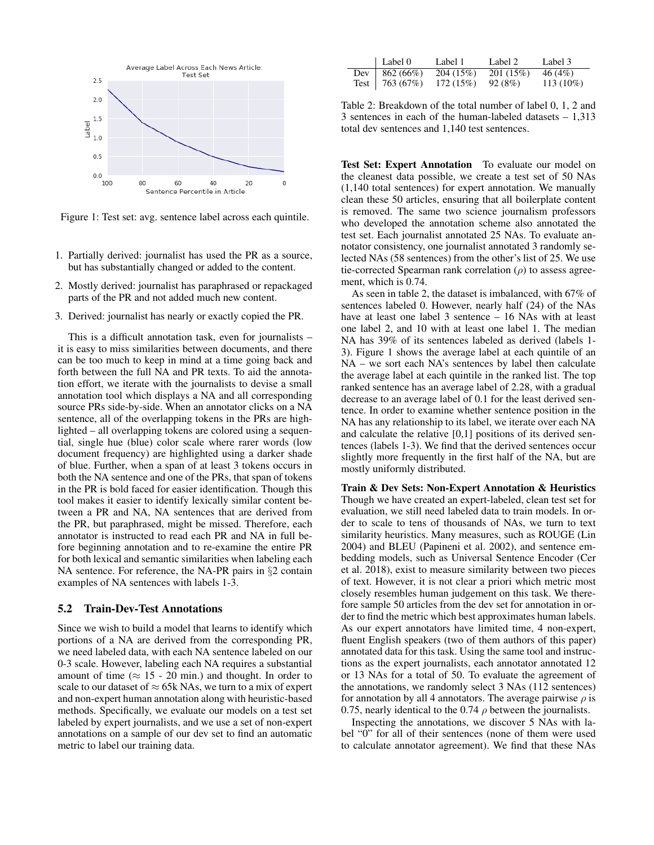

Figure 1: Test set: avg. sentence label across each quintile.

- 1. Partially derived: journalist has used the PR as a source, but has substantially changed or added to the content.
- 2. Mostly derived: journalist has paraphrased or repackaged parts of the PR and not added much new content.
- 3. Derived: journalist has nearly or exactly copied the PR.

This is a difficult annotation task, even for journalists – it is easy to miss similarities between documents, and there can be too much to keep in mind at a time going back and forth between the full NA and PR texts. To aid the annotation effort, we iterate with the journalists to devise a small annotation tool which displays a NA and all corresponding source PRs side-by-side. When an annotator clicks on a NA sentence, all of the overlapping tokens in the PRs are highlighted – all overlapping tokens are colored using a sequential, single hue (blue) color scale where rarer words (low document frequency) are highlighted using a darker shade of blue. Further, when a span of at least 3 tokens occurs in both the NA sentence and one of the PRs, that span of tokens in the PR is bold faced for easier identification. Though this tool makes it easier to identify lexically similar content between a PR and NA, NA sentences that are derived from the PR, but paraphrased, might be missed. Therefore, each annotator is instructed to read each PR and NA in full before beginning annotation and to re-examine the entire PR for both lexical and semantic similarities when labeling each NA sentence. For reference, the NA-PR pairs in §2 contain examples of NA sentences with labels 1-3.

### 5.2 Train-Dev-Test Annotations

Since we wish to build a model that learns to identify which portions of a NA are derived from the corresponding PR, we need labeled data, with each NA sentence labeled on our 0-3 scale. However, labeling each NA requires a substantial amount of time ( $\approx$  15 - 20 min.) and thought. In order to scale to our dataset of  $\approx$  65k NAs, we turn to a mix of expert and non-expert human annotation along with heuristic-based methods. Specifically, we evaluate our models on a test set labeled by expert journalists, and we use a set of non-expert annotations on a sample of our dev set to find an automatic metric to label our training data.

| $\vert$ Label 0   | Label 1  | Label 2  | Label 3     |
|-------------------|----------|----------|-------------|
| Dev   $862 (66%)$ | 204(15%) | 201(15%) | 46 (4%)     |
| Test   $763(67%)$ | 172(15%) | 92 (8%)  | $113(10\%)$ |

Table 2: Breakdown of the total number of label 0, 1, 2 and 3 sentences in each of the human-labeled datasets – 1,313 total dev sentences and 1,140 test sentences.

Test Set: Expert Annotation To evaluate our model on the cleanest data possible, we create a test set of 50 NAs (1,140 total sentences) for expert annotation. We manually clean these 50 articles, ensuring that all boilerplate content is removed. The same two science journalism professors who developed the annotation scheme also annotated the test set. Each journalist annotated 25 NAs. To evaluate annotator consistency, one journalist annotated 3 randomly selected NAs (58 sentences) from the other's list of 25. We use tie-corrected Spearman rank correlation  $(\rho)$  to assess agreement, which is 0.74.

As seen in table 2, the dataset is imbalanced, with 67% of sentences labeled 0. However, nearly half (24) of the NAs have at least one label 3 sentence – 16 NAs with at least one label 2, and 10 with at least one label 1. The median NA has 39% of its sentences labeled as derived (labels 1- 3). Figure 1 shows the average label at each quintile of an NA – we sort each NA's sentences by label then calculate the average label at each quintile in the ranked list. The top ranked sentence has an average label of 2.28, with a gradual decrease to an average label of 0.1 for the least derived sentence. In order to examine whether sentence position in the NA has any relationship to its label, we iterate over each NA and calculate the relative [0,1] positions of its derived sentences (labels 1-3). We find that the derived sentences occur slightly more frequently in the first half of the NA, but are mostly uniformly distributed.

Train & Dev Sets: Non-Expert Annotation & Heuristics Though we have created an expert-labeled, clean test set for evaluation, we still need labeled data to train models. In order to scale to tens of thousands of NAs, we turn to text similarity heuristics. Many measures, such as ROUGE (Lin 2004) and BLEU (Papineni et al. 2002), and sentence embedding models, such as Universal Sentence Encoder (Cer et al. 2018), exist to measure similarity between two pieces of text. However, it is not clear a priori which metric most closely resembles human judgement on this task. We therefore sample 50 articles from the dev set for annotation in order to find the metric which best approximates human labels. As our expert annotators have limited time, 4 non-expert, fluent English speakers (two of them authors of this paper) annotated data for this task. Using the same tool and instructions as the expert journalists, each annotator annotated 12 or 13 NAs for a total of 50. To evaluate the agreement of the annotations, we randomly select 3 NAs (112 sentences) for annotation by all 4 annotators. The average pairwise  $\rho$  is 0.75, nearly identical to the 0.74  $\rho$  between the journalists.

Inspecting the annotations, we discover 5 NAs with label "0" for all of their sentences (none of them were used to calculate annotator agreement). We find that these NAs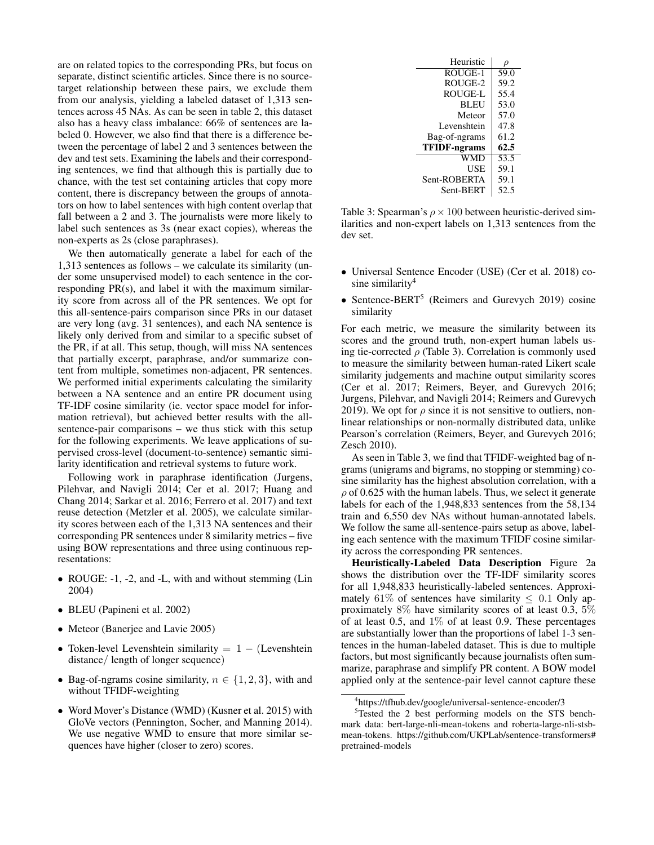are on related topics to the corresponding PRs, but focus on separate, distinct scientific articles. Since there is no sourcetarget relationship between these pairs, we exclude them from our analysis, yielding a labeled dataset of 1,313 sentences across 45 NAs. As can be seen in table 2, this dataset also has a heavy class imbalance: 66% of sentences are labeled 0. However, we also find that there is a difference between the percentage of label 2 and 3 sentences between the dev and test sets. Examining the labels and their corresponding sentences, we find that although this is partially due to chance, with the test set containing articles that copy more content, there is discrepancy between the groups of annotators on how to label sentences with high content overlap that fall between a 2 and 3. The journalists were more likely to label such sentences as 3s (near exact copies), whereas the non-experts as 2s (close paraphrases).

We then automatically generate a label for each of the 1,313 sentences as follows – we calculate its similarity (under some unsupervised model) to each sentence in the corresponding PR(s), and label it with the maximum similarity score from across all of the PR sentences. We opt for this all-sentence-pairs comparison since PRs in our dataset are very long (avg. 31 sentences), and each NA sentence is likely only derived from and similar to a specific subset of the PR, if at all. This setup, though, will miss NA sentences that partially excerpt, paraphrase, and/or summarize content from multiple, sometimes non-adjacent, PR sentences. We performed initial experiments calculating the similarity between a NA sentence and an entire PR document using TF-IDF cosine similarity (ie. vector space model for information retrieval), but achieved better results with the allsentence-pair comparisons – we thus stick with this setup for the following experiments. We leave applications of supervised cross-level (document-to-sentence) semantic similarity identification and retrieval systems to future work.

Following work in paraphrase identification (Jurgens, Pilehvar, and Navigli 2014; Cer et al. 2017; Huang and Chang 2014; Sarkar et al. 2016; Ferrero et al. 2017) and text reuse detection (Metzler et al. 2005), we calculate similarity scores between each of the 1,313 NA sentences and their corresponding PR sentences under 8 similarity metrics – five using BOW representations and three using continuous representations:

- ROUGE:  $-1$ ,  $-2$ , and  $-L$ , with and without stemming (Lin 2004)
- BLEU (Papineni et al. 2002)
- Meteor (Banerjee and Lavie 2005)
- Token-level Levenshtein similarity  $= 1 (Levenshtein)$ distance/ length of longer sequence)
- Bag-of-ngrams cosine similarity,  $n \in \{1, 2, 3\}$ , with and without TFIDF-weighting
- Word Mover's Distance (WMD) (Kusner et al. 2015) with GloVe vectors (Pennington, Socher, and Manning 2014). We use negative WMD to ensure that more similar sequences have higher (closer to zero) scores.

| Heuristic           |      |
|---------------------|------|
| ROUGE-1             | 59.0 |
| ROUGE-2             | 59.2 |
| ROUGE-L             | 55.4 |
| <b>BLEU</b>         | 53.0 |
| Meteor              | 57.0 |
| Levenshtein         | 47.8 |
| Bag-of-ngrams       | 61.2 |
| <b>TFIDF-ngrams</b> | 62.5 |
| WMD                 | 53.5 |
| USE                 | 59.1 |
| Sent-ROBERTA        | 59.1 |
| Sent-BERT           | 52.5 |

Table 3: Spearman's  $\rho \times 100$  between heuristic-derived similarities and non-expert labels on 1,313 sentences from the dev set.

- Universal Sentence Encoder (USE) (Cer et al. 2018) cosine similarity $4$
- Sentence-BERT<sup>5</sup> (Reimers and Gurevych 2019) cosine similarity

For each metric, we measure the similarity between its scores and the ground truth, non-expert human labels using tie-corrected  $\rho$  (Table 3). Correlation is commonly used to measure the similarity between human-rated Likert scale similarity judgements and machine output similarity scores (Cer et al. 2017; Reimers, Beyer, and Gurevych 2016; Jurgens, Pilehvar, and Navigli 2014; Reimers and Gurevych 2019). We opt for  $\rho$  since it is not sensitive to outliers, nonlinear relationships or non-normally distributed data, unlike Pearson's correlation (Reimers, Beyer, and Gurevych 2016; Zesch 2010).

As seen in Table 3, we find that TFIDF-weighted bag of ngrams (unigrams and bigrams, no stopping or stemming) cosine similarity has the highest absolution correlation, with a  $\rho$  of 0.625 with the human labels. Thus, we select it generate labels for each of the 1,948,833 sentences from the 58,134 train and 6,550 dev NAs without human-annotated labels. We follow the same all-sentence-pairs setup as above, labeling each sentence with the maximum TFIDF cosine similarity across the corresponding PR sentences.

Heuristically-Labeled Data Description Figure 2a shows the distribution over the TF-IDF similarity scores for all 1,948,833 heuristically-labeled sentences. Approximately 61% of sentences have similarity  $\leq$  0.1 Only approximately 8% have similarity scores of at least 0.3, 5% of at least 0.5, and  $1\%$  of at least 0.9. These percentages are substantially lower than the proportions of label 1-3 sentences in the human-labeled dataset. This is due to multiple factors, but most significantly because journalists often summarize, paraphrase and simplify PR content. A BOW model applied only at the sentence-pair level cannot capture these

<sup>4</sup> https://tfhub.dev/google/universal-sentence-encoder/3

<sup>&</sup>lt;sup>5</sup>Tested the 2 best performing models on the STS benchmark data: bert-large-nli-mean-tokens and roberta-large-nli-stsbmean-tokens. https://github.com/UKPLab/sentence-transformers# pretrained-models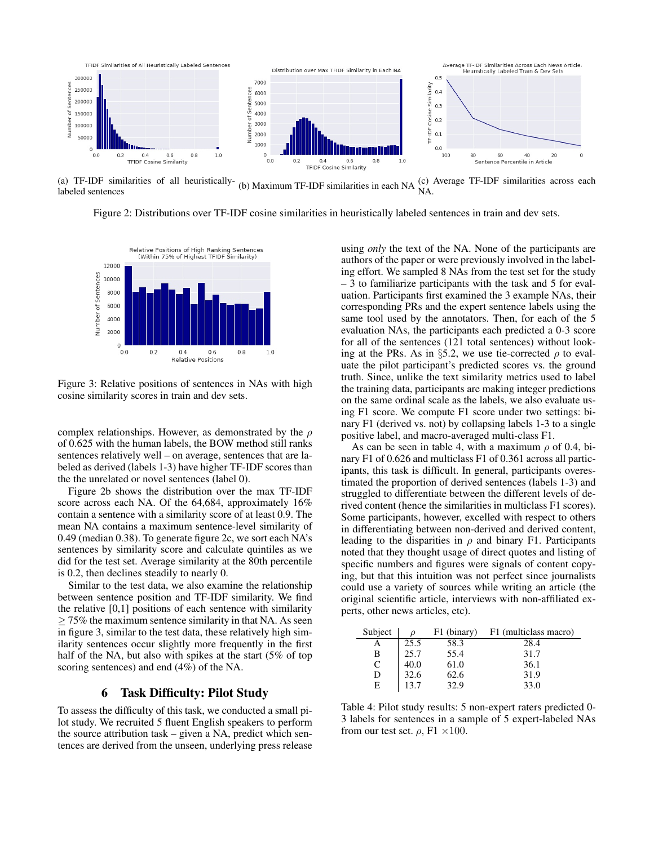

(a) TF-IDF similarities of all heuristically-(a) TF-IDF similarities of all heuristically-<br>labeled sentences<br>labeled sentences

Figure 2: Distributions over TF-IDF cosine similarities in heuristically labeled sentences in train and dev sets.



Figure 3: Relative positions of sentences in NAs with high cosine similarity scores in train and dev sets.

complex relationships. However, as demonstrated by the  $\rho$ of 0.625 with the human labels, the BOW method still ranks sentences relatively well – on average, sentences that are labeled as derived (labels 1-3) have higher TF-IDF scores than the the unrelated or novel sentences (label 0).

Figure 2b shows the distribution over the max TF-IDF score across each NA. Of the 64,684, approximately 16% contain a sentence with a similarity score of at least 0.9. The mean NA contains a maximum sentence-level similarity of 0.49 (median 0.38). To generate figure 2c, we sort each NA's sentences by similarity score and calculate quintiles as we did for the test set. Average similarity at the 80th percentile is 0.2, then declines steadily to nearly 0.

Similar to the test data, we also examine the relationship between sentence position and TF-IDF similarity. We find the relative [0,1] positions of each sentence with similarity  $\geq$  75% the maximum sentence similarity in that NA. As seen in figure 3, similar to the test data, these relatively high similarity sentences occur slightly more frequently in the first half of the NA, but also with spikes at the start (5% of top scoring sentences) and end (4%) of the NA.

## 6 Task Difficulty: Pilot Study

To assess the difficulty of this task, we conducted a small pilot study. We recruited 5 fluent English speakers to perform the source attribution task – given a NA, predict which sentences are derived from the unseen, underlying press release

using *only* the text of the NA. None of the participants are authors of the paper or were previously involved in the labeling effort. We sampled 8 NAs from the test set for the study – 3 to familiarize participants with the task and 5 for evaluation. Participants first examined the 3 example NAs, their corresponding PRs and the expert sentence labels using the same tool used by the annotators. Then, for each of the 5 evaluation NAs, the participants each predicted a 0-3 score for all of the sentences (121 total sentences) without looking at the PRs. As in §5.2, we use tie-corrected  $\rho$  to evaluate the pilot participant's predicted scores vs. the ground truth. Since, unlike the text similarity metrics used to label the training data, participants are making integer predictions on the same ordinal scale as the labels, we also evaluate using F1 score. We compute F1 score under two settings: binary F1 (derived vs. not) by collapsing labels 1-3 to a single positive label, and macro-averaged multi-class F1.

As can be seen in table 4, with a maximum  $\rho$  of 0.4, binary F1 of 0.626 and multiclass F1 of 0.361 across all participants, this task is difficult. In general, participants overestimated the proportion of derived sentences (labels 1-3) and struggled to differentiate between the different levels of derived content (hence the similarities in multiclass F1 scores). Some participants, however, excelled with respect to others in differentiating between non-derived and derived content, leading to the disparities in  $\rho$  and binary F1. Participants noted that they thought usage of direct quotes and listing of specific numbers and figures were signals of content copying, but that this intuition was not perfect since journalists could use a variety of sources while writing an article (the original scientific article, interviews with non-affiliated experts, other news articles, etc).

| Subject |      | F1 (binary) | F1 (multiclass macro) |  |
|---------|------|-------------|-----------------------|--|
|         | 25.5 | 58.3        | 28.4                  |  |
| B       | 25.7 | 55.4        | 31.7                  |  |
| C       | 40.0 | 61.0        | 36.1                  |  |
| D       | 32.6 | 62.6        | 31.9                  |  |
| Е       |      | 32.9        | 33.0                  |  |

Table 4: Pilot study results: 5 non-expert raters predicted 0- 3 labels for sentences in a sample of 5 expert-labeled NAs from our test set.  $\rho$ , F1 ×100.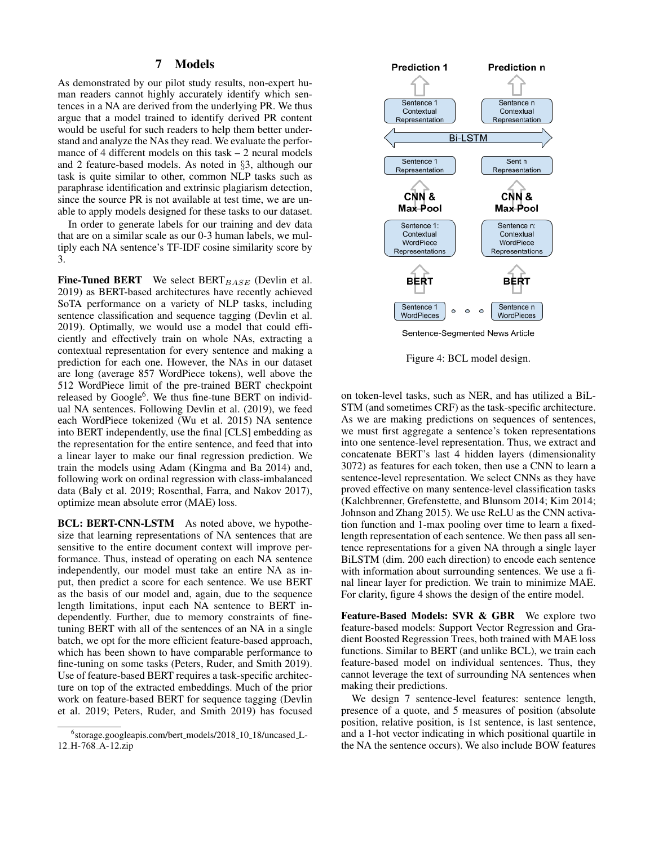## 7 Models

As demonstrated by our pilot study results, non-expert human readers cannot highly accurately identify which sentences in a NA are derived from the underlying PR. We thus argue that a model trained to identify derived PR content would be useful for such readers to help them better understand and analyze the NAs they read. We evaluate the performance of 4 different models on this task  $-2$  neural models and 2 feature-based models. As noted in §3, although our task is quite similar to other, common NLP tasks such as paraphrase identification and extrinsic plagiarism detection, since the source PR is not available at test time, we are unable to apply models designed for these tasks to our dataset.

In order to generate labels for our training and dev data that are on a similar scale as our 0-3 human labels, we multiply each NA sentence's TF-IDF cosine similarity score by 3.

**Fine-Tuned BERT** We select  $BERT_{BASE}$  (Devlin et al. 2019) as BERT-based architectures have recently achieved SoTA performance on a variety of NLP tasks, including sentence classification and sequence tagging (Devlin et al. 2019). Optimally, we would use a model that could efficiently and effectively train on whole NAs, extracting a contextual representation for every sentence and making a prediction for each one. However, the NAs in our dataset are long (average 857 WordPiece tokens), well above the 512 WordPiece limit of the pre-trained BERT checkpoint released by Google<sup>6</sup>. We thus fine-tune BERT on individual NA sentences. Following Devlin et al. (2019), we feed each WordPiece tokenized (Wu et al. 2015) NA sentence into BERT independently, use the final [CLS] embedding as the representation for the entire sentence, and feed that into a linear layer to make our final regression prediction. We train the models using Adam (Kingma and Ba 2014) and, following work on ordinal regression with class-imbalanced data (Baly et al. 2019; Rosenthal, Farra, and Nakov 2017), optimize mean absolute error (MAE) loss.

BCL: BERT-CNN-LSTM As noted above, we hypothesize that learning representations of NA sentences that are sensitive to the entire document context will improve performance. Thus, instead of operating on each NA sentence independently, our model must take an entire NA as input, then predict a score for each sentence. We use BERT as the basis of our model and, again, due to the sequence length limitations, input each NA sentence to BERT independently. Further, due to memory constraints of finetuning BERT with all of the sentences of an NA in a single batch, we opt for the more efficient feature-based approach, which has been shown to have comparable performance to fine-tuning on some tasks (Peters, Ruder, and Smith 2019). Use of feature-based BERT requires a task-specific architecture on top of the extracted embeddings. Much of the prior work on feature-based BERT for sequence tagging (Devlin et al. 2019; Peters, Ruder, and Smith 2019) has focused



Figure 4: BCL model design.

on token-level tasks, such as NER, and has utilized a BiL-STM (and sometimes CRF) as the task-specific architecture. As we are making predictions on sequences of sentences, we must first aggregate a sentence's token representations into one sentence-level representation. Thus, we extract and concatenate BERT's last 4 hidden layers (dimensionality 3072) as features for each token, then use a CNN to learn a sentence-level representation. We select CNNs as they have proved effective on many sentence-level classification tasks (Kalchbrenner, Grefenstette, and Blunsom 2014; Kim 2014; Johnson and Zhang 2015). We use ReLU as the CNN activation function and 1-max pooling over time to learn a fixedlength representation of each sentence. We then pass all sentence representations for a given NA through a single layer BiLSTM (dim. 200 each direction) to encode each sentence with information about surrounding sentences. We use a final linear layer for prediction. We train to minimize MAE. For clarity, figure 4 shows the design of the entire model.

Feature-Based Models: SVR & GBR We explore two feature-based models: Support Vector Regression and Gradient Boosted Regression Trees, both trained with MAE loss functions. Similar to BERT (and unlike BCL), we train each feature-based model on individual sentences. Thus, they cannot leverage the text of surrounding NA sentences when making their predictions.

We design 7 sentence-level features: sentence length, presence of a quote, and 5 measures of position (absolute position, relative position, is 1st sentence, is last sentence, and a 1-hot vector indicating in which positional quartile in the NA the sentence occurs). We also include BOW features

<sup>6</sup> storage.googleapis.com/bert models/2018 10 18/uncased L-12 H-768 A-12.zip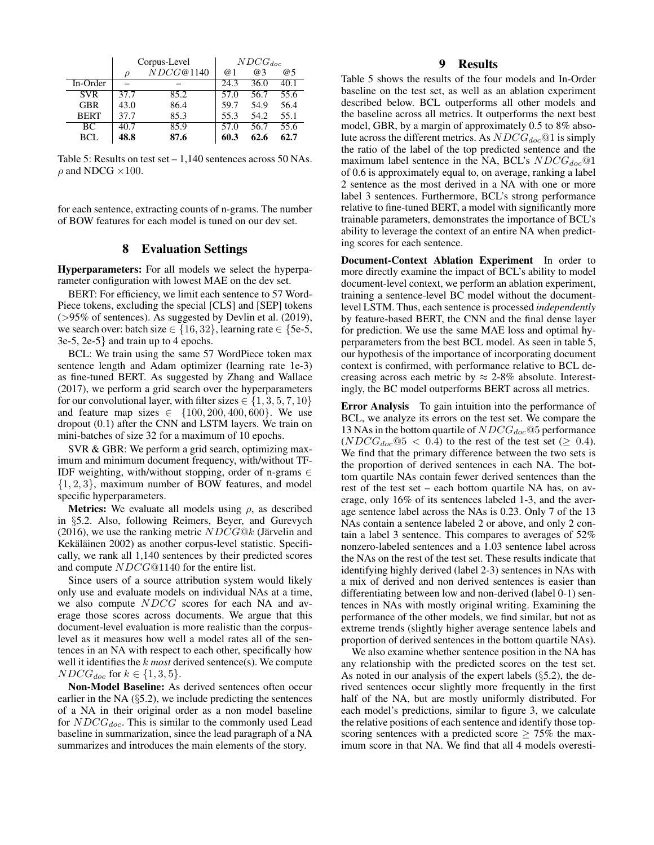|             | Corpus-Level |           | $NDCG_{doc}$ |      |      |
|-------------|--------------|-----------|--------------|------|------|
|             | Ω            | NDCG@1140 | @ 1          | @3   | @5   |
| In-Order    |              |           | 24.3         | 36.0 | 40.1 |
| <b>SVR</b>  | 37.7         | 85.2      | 57.0         | 56.7 | 55.6 |
| <b>GBR</b>  | 43.0         | 86.4      | 59.7         | 54.9 | 56.4 |
| <b>BERT</b> | 37.7         | 85.3      | 55.3         | 54.2 | 55.1 |
| BC.         | 40.7         | 85.9      | 57.0         | 56.7 | 55.6 |
| BCL         | 48.8         | 87.6      | 60.3         | 62.6 | 62.7 |

Table 5: Results on test set  $-1,140$  sentences across 50 NAs.  $\rho$  and NDCG  $\times$ 100.

for each sentence, extracting counts of n-grams. The number of BOW features for each model is tuned on our dev set.

### 8 Evaluation Settings

Hyperparameters: For all models we select the hyperparameter configuration with lowest MAE on the dev set.

BERT: For efficiency, we limit each sentence to 57 Word-Piece tokens, excluding the special [CLS] and [SEP] tokens (>95% of sentences). As suggested by Devlin et al. (2019), we search over: batch size ∈ {16, 32}, learning rate ∈ {5e-5, 3e-5, 2e-5} and train up to 4 epochs.

BCL: We train using the same 57 WordPiece token max sentence length and Adam optimizer (learning rate 1e-3) as fine-tuned BERT. As suggested by Zhang and Wallace (2017), we perform a grid search over the hyperparameters for our convolutional layer, with filter sizes  $\in \{1, 3, 5, 7, 10\}$ and feature map sizes  $\in \{100, 200, 400, 600\}$ . We use dropout (0.1) after the CNN and LSTM layers. We train on mini-batches of size 32 for a maximum of 10 epochs.

SVR & GBR: We perform a grid search, optimizing maximum and minimum document frequency, with/without TF-IDF weighting, with/without stopping, order of n-grams  $\in$  $\{1, 2, 3\}$ , maximum number of BOW features, and model specific hyperparameters.

**Metrics:** We evaluate all models using  $\rho$ , as described in §5.2. Also, following Reimers, Beyer, and Gurevych (2016), we use the ranking metric  $NDCG@k$  (Järvelin and Kekäläinen 2002) as another corpus-level statistic. Specifically, we rank all 1,140 sentences by their predicted scores and compute NDCG@1140 for the entire list.

Since users of a source attribution system would likely only use and evaluate models on individual NAs at a time, we also compute NDCG scores for each NA and average those scores across documents. We argue that this document-level evaluation is more realistic than the corpuslevel as it measures how well a model rates all of the sentences in an NA with respect to each other, specifically how well it identifies the k *most* derived sentence(s). We compute  $NDCG_{doc}$  for  $k \in \{1, 3, 5\}.$ 

Non-Model Baseline: As derived sentences often occur earlier in the NA  $(\S 5.2)$ , we include predicting the sentences of a NA in their original order as a non model baseline for  $NDCG_{doc}$ . This is similar to the commonly used Lead baseline in summarization, since the lead paragraph of a NA summarizes and introduces the main elements of the story.

# 9 Results

Table 5 shows the results of the four models and In-Order baseline on the test set, as well as an ablation experiment described below. BCL outperforms all other models and the baseline across all metrics. It outperforms the next best model, GBR, by a margin of approximately 0.5 to 8% absolute across the different metrics. As  $NDCG_{doc}$ @1 is simply the ratio of the label of the top predicted sentence and the maximum label sentence in the NA, BCL's  $NDCG_{doc}@1$ of 0.6 is approximately equal to, on average, ranking a label 2 sentence as the most derived in a NA with one or more label 3 sentences. Furthermore, BCL's strong performance relative to fine-tuned BERT, a model with significantly more trainable parameters, demonstrates the importance of BCL's ability to leverage the context of an entire NA when predicting scores for each sentence.

Document-Context Ablation Experiment In order to more directly examine the impact of BCL's ability to model document-level context, we perform an ablation experiment, training a sentence-level BC model without the documentlevel LSTM. Thus, each sentence is processed *independently* by feature-based BERT, the CNN and the final dense layer for prediction. We use the same MAE loss and optimal hyperparameters from the best BCL model. As seen in table 5, our hypothesis of the importance of incorporating document context is confirmed, with performance relative to BCL decreasing across each metric by  $\approx 2.8\%$  absolute. Interestingly, the BC model outperforms BERT across all metrics.

Error Analysis To gain intuition into the performance of BCL, we analyze its errors on the test set. We compare the 13 NAs in the bottom quartile of  $NDCG_{doc}$  @5 performance  $(NDCG<sub>doc</sub>@5 < 0.4)$  to the rest of the test set (> 0.4). We find that the primary difference between the two sets is the proportion of derived sentences in each NA. The bottom quartile NAs contain fewer derived sentences than the rest of the test set – each bottom quartile NA has, on average, only 16% of its sentences labeled 1-3, and the average sentence label across the NAs is 0.23. Only 7 of the 13 NAs contain a sentence labeled 2 or above, and only 2 contain a label 3 sentence. This compares to averages of 52% nonzero-labeled sentences and a 1.03 sentence label across the NAs on the rest of the test set. These results indicate that identifying highly derived (label 2-3) sentences in NAs with a mix of derived and non derived sentences is easier than differentiating between low and non-derived (label 0-1) sentences in NAs with mostly original writing. Examining the performance of the other models, we find similar, but not as extreme trends (slightly higher average sentence labels and proportion of derived sentences in the bottom quartile NAs).

We also examine whether sentence position in the NA has any relationship with the predicted scores on the test set. As noted in our analysis of the expert labels (§5.2), the derived sentences occur slightly more frequently in the first half of the NA, but are mostly uniformly distributed. For each model's predictions, similar to figure 3, we calculate the relative positions of each sentence and identify those topscoring sentences with a predicted score  $\geq$  75% the maximum score in that NA. We find that all 4 models overesti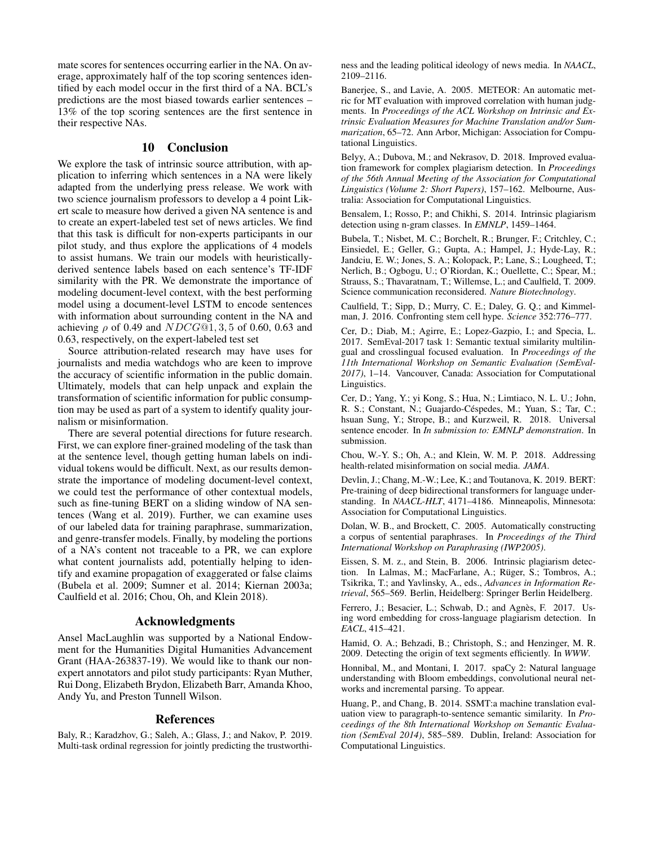mate scores for sentences occurring earlier in the NA. On average, approximately half of the top scoring sentences identified by each model occur in the first third of a NA. BCL's predictions are the most biased towards earlier sentences – 13% of the top scoring sentences are the first sentence in their respective NAs.

## 10 Conclusion

We explore the task of intrinsic source attribution, with application to inferring which sentences in a NA were likely adapted from the underlying press release. We work with two science journalism professors to develop a 4 point Likert scale to measure how derived a given NA sentence is and to create an expert-labeled test set of news articles. We find that this task is difficult for non-experts participants in our pilot study, and thus explore the applications of 4 models to assist humans. We train our models with heuristicallyderived sentence labels based on each sentence's TF-IDF similarity with the PR. We demonstrate the importance of modeling document-level context, with the best performing model using a document-level LSTM to encode sentences with information about surrounding content in the NA and achieving  $\rho$  of 0.49 and  $NDCG@1, 3, 5$  of 0.60, 0.63 and 0.63, respectively, on the expert-labeled test set

Source attribution-related research may have uses for journalists and media watchdogs who are keen to improve the accuracy of scientific information in the public domain. Ultimately, models that can help unpack and explain the transformation of scientific information for public consumption may be used as part of a system to identify quality journalism or misinformation.

There are several potential directions for future research. First, we can explore finer-grained modeling of the task than at the sentence level, though getting human labels on individual tokens would be difficult. Next, as our results demonstrate the importance of modeling document-level context, we could test the performance of other contextual models, such as fine-tuning BERT on a sliding window of NA sentences (Wang et al. 2019). Further, we can examine uses of our labeled data for training paraphrase, summarization, and genre-transfer models. Finally, by modeling the portions of a NA's content not traceable to a PR, we can explore what content journalists add, potentially helping to identify and examine propagation of exaggerated or false claims (Bubela et al. 2009; Sumner et al. 2014; Kiernan 2003a; Caulfield et al. 2016; Chou, Oh, and Klein 2018).

### Acknowledgments

Ansel MacLaughlin was supported by a National Endowment for the Humanities Digital Humanities Advancement Grant (HAA-263837-19). We would like to thank our nonexpert annotators and pilot study participants: Ryan Muther, Rui Dong, Elizabeth Brydon, Elizabeth Barr, Amanda Khoo, Andy Yu, and Preston Tunnell Wilson.

### References

Baly, R.; Karadzhov, G.; Saleh, A.; Glass, J.; and Nakov, P. 2019. Multi-task ordinal regression for jointly predicting the trustworthiness and the leading political ideology of news media. In *NAACL*, 2109–2116.

Banerjee, S., and Lavie, A. 2005. METEOR: An automatic metric for MT evaluation with improved correlation with human judgments. In *Proceedings of the ACL Workshop on Intrinsic and Extrinsic Evaluation Measures for Machine Translation and/or Summarization*, 65–72. Ann Arbor, Michigan: Association for Computational Linguistics.

Belyy, A.; Dubova, M.; and Nekrasov, D. 2018. Improved evaluation framework for complex plagiarism detection. In *Proceedings of the 56th Annual Meeting of the Association for Computational Linguistics (Volume 2: Short Papers)*, 157–162. Melbourne, Australia: Association for Computational Linguistics.

Bensalem, I.; Rosso, P.; and Chikhi, S. 2014. Intrinsic plagiarism detection using n-gram classes. In *EMNLP*, 1459–1464.

Bubela, T.; Nisbet, M. C.; Borchelt, R.; Brunger, F.; Critchley, C.; Einsiedel, E.; Geller, G.; Gupta, A.; Hampel, J.; Hyde-Lay, R.; Jandciu, E. W.; Jones, S. A.; Kolopack, P.; Lane, S.; Lougheed, T.; Nerlich, B.; Ogbogu, U.; O'Riordan, K.; Ouellette, C.; Spear, M.; Strauss, S.; Thavaratnam, T.; Willemse, L.; and Caulfield, T. 2009. Science communication reconsidered. *Nature Biotechnology*.

Caulfield, T.; Sipp, D.; Murry, C. E.; Daley, G. Q.; and Kimmelman, J. 2016. Confronting stem cell hype. *Science* 352:776–777.

Cer, D.; Diab, M.; Agirre, E.; Lopez-Gazpio, I.; and Specia, L. 2017. SemEval-2017 task 1: Semantic textual similarity multilingual and crosslingual focused evaluation. In *Proceedings of the 11th International Workshop on Semantic Evaluation (SemEval-2017)*, 1–14. Vancouver, Canada: Association for Computational Linguistics.

Cer, D.; Yang, Y.; yi Kong, S.; Hua, N.; Limtiaco, N. L. U.; John, R. S.; Constant, N.; Guajardo-Céspedes, M.; Yuan, S.; Tar, C.; hsuan Sung, Y.; Strope, B.; and Kurzweil, R. 2018. Universal sentence encoder. In *In submission to: EMNLP demonstration*. In submission.

Chou, W.-Y. S.; Oh, A.; and Klein, W. M. P. 2018. Addressing health-related misinformation on social media. *JAMA*.

Devlin, J.; Chang, M.-W.; Lee, K.; and Toutanova, K. 2019. BERT: Pre-training of deep bidirectional transformers for language understanding. In *NAACL-HLT*, 4171–4186. Minneapolis, Minnesota: Association for Computational Linguistics.

Dolan, W. B., and Brockett, C. 2005. Automatically constructing a corpus of sentential paraphrases. In *Proceedings of the Third International Workshop on Paraphrasing (IWP2005)*.

Eissen, S. M. z., and Stein, B. 2006. Intrinsic plagiarism detection. In Lalmas, M.; MacFarlane, A.; Rüger, S.; Tombros, A.; Tsikrika, T.; and Yavlinsky, A., eds., *Advances in Information Retrieval*, 565–569. Berlin, Heidelberg: Springer Berlin Heidelberg.

Ferrero, J.; Besacier, L.; Schwab, D.; and Agnès, F. 2017. Using word embedding for cross-language plagiarism detection. In *EACL*, 415–421.

Hamid, O. A.; Behzadi, B.; Christoph, S.; and Henzinger, M. R. 2009. Detecting the origin of text segments efficiently. In *WWW*.

Honnibal, M., and Montani, I. 2017. spaCy 2: Natural language understanding with Bloom embeddings, convolutional neural networks and incremental parsing. To appear.

Huang, P., and Chang, B. 2014. SSMT:a machine translation evaluation view to paragraph-to-sentence semantic similarity. In *Proceedings of the 8th International Workshop on Semantic Evaluation (SemEval 2014)*, 585–589. Dublin, Ireland: Association for Computational Linguistics.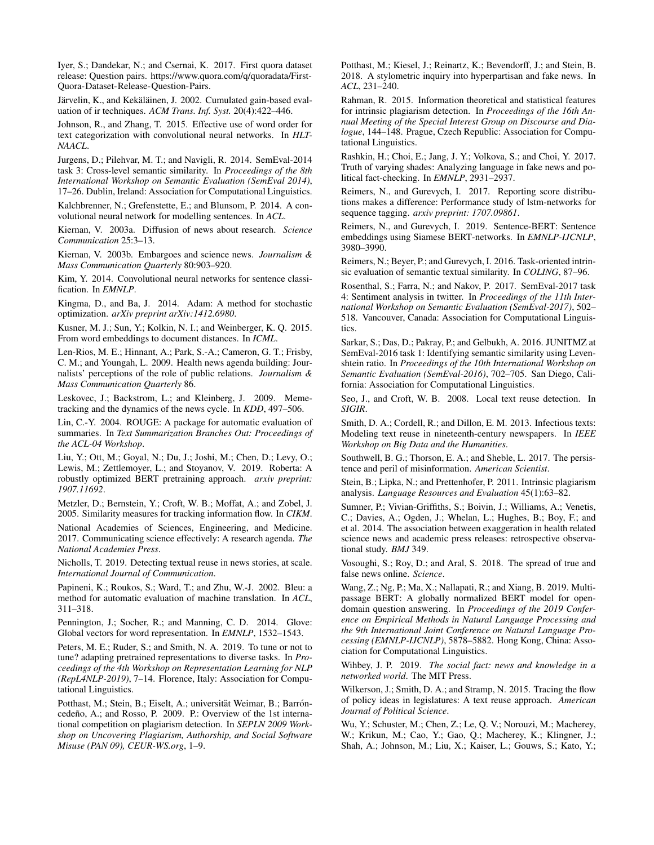Iyer, S.; Dandekar, N.; and Csernai, K. 2017. First quora dataset release: Question pairs. https://www.quora.com/q/quoradata/First-Quora-Dataset-Release-Question-Pairs.

Järvelin, K., and Kekäläinen, J. 2002. Cumulated gain-based evaluation of ir techniques. *ACM Trans. Inf. Syst.* 20(4):422–446.

Johnson, R., and Zhang, T. 2015. Effective use of word order for text categorization with convolutional neural networks. In *HLT-NAACL*.

Jurgens, D.; Pilehvar, M. T.; and Navigli, R. 2014. SemEval-2014 task 3: Cross-level semantic similarity. In *Proceedings of the 8th International Workshop on Semantic Evaluation (SemEval 2014)*, 17–26. Dublin, Ireland: Association for Computational Linguistics.

Kalchbrenner, N.; Grefenstette, E.; and Blunsom, P. 2014. A convolutional neural network for modelling sentences. In *ACL*.

Kiernan, V. 2003a. Diffusion of news about research. *Science Communication* 25:3–13.

Kiernan, V. 2003b. Embargoes and science news. *Journalism & Mass Communication Quarterly* 80:903–920.

Kim, Y. 2014. Convolutional neural networks for sentence classification. In *EMNLP*.

Kingma, D., and Ba, J. 2014. Adam: A method for stochastic optimization. *arXiv preprint arXiv:1412.6980*.

Kusner, M. J.; Sun, Y.; Kolkin, N. I.; and Weinberger, K. Q. 2015. From word embeddings to document distances. In *ICML*.

Len-Rios, M. E.; Hinnant, A.; Park, S.-A.; Cameron, G. T.; Frisby, C. M.; and Youngah, L. 2009. Health news agenda building: Journalists' perceptions of the role of public relations. *Journalism & Mass Communication Quarterly* 86.

Leskovec, J.; Backstrom, L.; and Kleinberg, J. 2009. Memetracking and the dynamics of the news cycle. In *KDD*, 497–506.

Lin, C.-Y. 2004. ROUGE: A package for automatic evaluation of summaries. In *Text Summarization Branches Out: Proceedings of the ACL-04 Workshop*.

Liu, Y.; Ott, M.; Goyal, N.; Du, J.; Joshi, M.; Chen, D.; Levy, O.; Lewis, M.; Zettlemoyer, L.; and Stoyanov, V. 2019. Roberta: A robustly optimized BERT pretraining approach. *arxiv preprint: 1907.11692*.

Metzler, D.; Bernstein, Y.; Croft, W. B.; Moffat, A.; and Zobel, J. 2005. Similarity measures for tracking information flow. In *CIKM*.

National Academies of Sciences, Engineering, and Medicine. 2017. Communicating science effectively: A research agenda. *The National Academies Press*.

Nicholls, T. 2019. Detecting textual reuse in news stories, at scale. *International Journal of Communication*.

Papineni, K.; Roukos, S.; Ward, T.; and Zhu, W.-J. 2002. Bleu: a method for automatic evaluation of machine translation. In *ACL*, 311–318.

Pennington, J.; Socher, R.; and Manning, C. D. 2014. Glove: Global vectors for word representation. In *EMNLP*, 1532–1543.

Peters, M. E.; Ruder, S.; and Smith, N. A. 2019. To tune or not to tune? adapting pretrained representations to diverse tasks. In *Proceedings of the 4th Workshop on Representation Learning for NLP (RepL4NLP-2019)*, 7–14. Florence, Italy: Association for Computational Linguistics.

Potthast, M.; Stein, B.; Eiselt, A.; universität Weimar, B.; Barróncedeño, A.; and Rosso, P. 2009. P.: Overview of the 1st international competition on plagiarism detection. In *SEPLN 2009 Workshop on Uncovering Plagiarism, Authorship, and Social Software Misuse (PAN 09), CEUR-WS.org*, 1–9.

Potthast, M.; Kiesel, J.; Reinartz, K.; Bevendorff, J.; and Stein, B. 2018. A stylometric inquiry into hyperpartisan and fake news. In *ACL*, 231–240.

Rahman, R. 2015. Information theoretical and statistical features for intrinsic plagiarism detection. In *Proceedings of the 16th Annual Meeting of the Special Interest Group on Discourse and Dialogue*, 144–148. Prague, Czech Republic: Association for Computational Linguistics.

Rashkin, H.; Choi, E.; Jang, J. Y.; Volkova, S.; and Choi, Y. 2017. Truth of varying shades: Analyzing language in fake news and political fact-checking. In *EMNLP*, 2931–2937.

Reimers, N., and Gurevych, I. 2017. Reporting score distributions makes a difference: Performance study of lstm-networks for sequence tagging. *arxiv preprint: 1707.09861*.

Reimers, N., and Gurevych, I. 2019. Sentence-BERT: Sentence embeddings using Siamese BERT-networks. In *EMNLP-IJCNLP*, 3980–3990.

Reimers, N.; Beyer, P.; and Gurevych, I. 2016. Task-oriented intrinsic evaluation of semantic textual similarity. In *COLING*, 87–96.

Rosenthal, S.; Farra, N.; and Nakov, P. 2017. SemEval-2017 task 4: Sentiment analysis in twitter. In *Proceedings of the 11th International Workshop on Semantic Evaluation (SemEval-2017)*, 502– 518. Vancouver, Canada: Association for Computational Linguistics.

Sarkar, S.; Das, D.; Pakray, P.; and Gelbukh, A. 2016. JUNITMZ at SemEval-2016 task 1: Identifying semantic similarity using Levenshtein ratio. In *Proceedings of the 10th International Workshop on Semantic Evaluation (SemEval-2016)*, 702–705. San Diego, California: Association for Computational Linguistics.

Seo, J., and Croft, W. B. 2008. Local text reuse detection. In *SIGIR*.

Smith, D. A.; Cordell, R.; and Dillon, E. M. 2013. Infectious texts: Modeling text reuse in nineteenth-century newspapers. In *IEEE Workshop on Big Data and the Humanities*.

Southwell, B. G.; Thorson, E. A.; and Sheble, L. 2017. The persistence and peril of misinformation. *American Scientist*.

Stein, B.; Lipka, N.; and Prettenhofer, P. 2011. Intrinsic plagiarism analysis. *Language Resources and Evaluation* 45(1):63–82.

Sumner, P.; Vivian-Griffiths, S.; Boivin, J.; Williams, A.; Venetis, C.; Davies, A.; Ogden, J.; Whelan, L.; Hughes, B.; Boy, F.; and et al. 2014. The association between exaggeration in health related science news and academic press releases: retrospective observational study. *BMJ* 349.

Vosoughi, S.; Roy, D.; and Aral, S. 2018. The spread of true and false news online. *Science*.

Wang, Z.; Ng, P.; Ma, X.; Nallapati, R.; and Xiang, B. 2019. Multipassage BERT: A globally normalized BERT model for opendomain question answering. In *Proceedings of the 2019 Conference on Empirical Methods in Natural Language Processing and the 9th International Joint Conference on Natural Language Processing (EMNLP-IJCNLP)*, 5878–5882. Hong Kong, China: Association for Computational Linguistics.

Wihbey, J. P. 2019. *The social fact: news and knowledge in a networked world*. The MIT Press.

Wilkerson, J.; Smith, D. A.; and Stramp, N. 2015. Tracing the flow of policy ideas in legislatures: A text reuse approach. *American Journal of Political Science*.

Wu, Y.; Schuster, M.; Chen, Z.; Le, Q. V.; Norouzi, M.; Macherey, W.; Krikun, M.; Cao, Y.; Gao, Q.; Macherey, K.; Klingner, J.; Shah, A.; Johnson, M.; Liu, X.; Kaiser, L.; Gouws, S.; Kato, Y.;